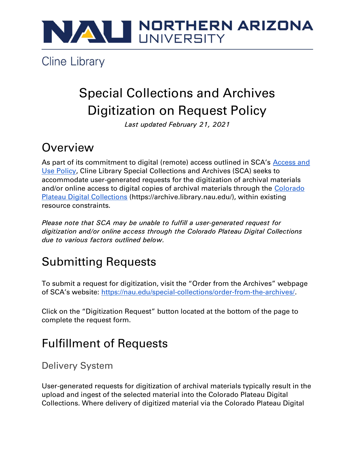

**Cline Library** 

# Special Collections and Archives Digitization on Request Policy

Last updated February 21, 2021

### **Overview**

As part of its commitment to digital (remote) access outlined in SCA's Access and Use Policy, Cline Library Special Collections and Archives (SCA) seeks to accommodate user-generated requests for the digitization of archival materials and/or online access to digital copies of archival materials through the Colorado Plateau Digital Collections (https://archive.library.nau.edu/), within existing resource constraints.

Please note that SCA may be unable to fulfill a user-generated request for digitization and/or online access through the Colorado Plateau Digital Collections due to various factors outlined below.

# Submitting Requests

To submit a request for digitization, visit the "Order from the Archives" webpage of SCA's website: https://nau.edu/special-collections/order-from-the-archives/.

Click on the "Digitization Request" button located at the bottom of the page to complete the request form.

# Fulfillment of Requests

Delivery System

User-generated requests for digitization of archival materials typically result in the upload and ingest of the selected material into the Colorado Plateau Digital Collections. Where delivery of digitized material via the Colorado Plateau Digital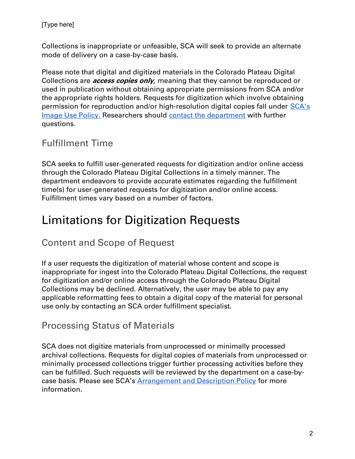Collections is inappropriate or unfeasible, SCA will seek to provide an alternate mode of delivery on a case-by-case basis.

Please note that digital and digitized materials in the Colorado Plateau Digital Collections are *access copies only*, meaning that they cannot be reproduced or used in publication without obtaining appropriate permissions from SCA and/or the appropriate rights holders. Requests for digitization which involve obtaining permission for reproduction and/or high-resolution digital copies fall under SCA's Image Use Policy. Researchers should contact the department with further questions.

#### Fulfillment Time

SCA seeks to fulfill user-generated requests for digitization and/or online access through the Colorado Plateau Digital Collections in a timely manner. The department endeavors to provide accurate estimates regarding the fulfillment time(s) for user-generated requests for digitization and/or online access. Fulfillment times vary based on a number of factors.

## Limitations for Digitization Requests

#### Content and Scope of Request

If a user requests the digitization of material whose content and scope is inappropriate for ingest into the Colorado Plateau Digital Collections, the request for digitization and/or online access through the Colorado Plateau Digital Collections may be declined. Alternatively, the user may be able to pay any applicable reformatting fees to obtain a digital copy of the material for personal use only by contacting an SCA order fulfillment specialist.

#### Processing Status of Materials

SCA does not digitize materials from unprocessed or minimally processed archival collections. Requests for digital copies of materials from unprocessed or minimally processed collections trigger further processing activities before they can be fulfilled. Such requests will be reviewed by the department on a case-bycase basis. Please see SCA's Arrangement and Description Policy for more information.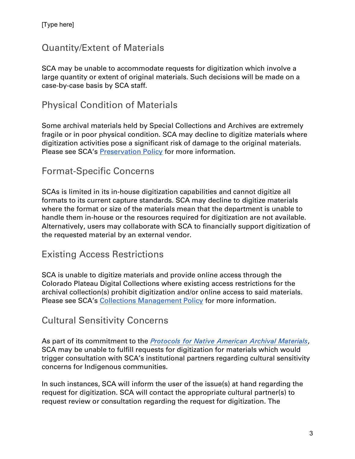#### Quantity/Extent of Materials

SCA may be unable to accommodate requests for digitization which involve a large quantity or extent of original materials. Such decisions will be made on a case-by-case basis by SCA staff.

#### Physical Condition of Materials

Some archival materials held by Special Collections and Archives are extremely fragile or in poor physical condition. SCA may decline to digitize materials where digitization activities pose a significant risk of damage to the original materials. Please see SCA's **Preservation Policy** for more information.

#### Format-Specific Concerns

SCAs is limited in its in-house digitization capabilities and cannot digitize all formats to its current capture standards. SCA may decline to digitize materials where the format or size of the materials mean that the department is unable to handle them in-house or the resources required for digitization are not available. Alternatively, users may collaborate with SCA to financially support digitization of the requested material by an external vendor.

#### Existing Access Restrictions

SCA is unable to digitize materials and provide online access through the Colorado Plateau Digital Collections where existing access restrictions for the archival collection(s) prohibit digitization and/or online access to said materials. Please see SCA's Collections Management Policy for more information.

#### Cultural Sensitivity Concerns

As part of its commitment to the Protocols for Native American Archival Materials, SCA may be unable to fulfill requests for digitization for materials which would trigger consultation with SCA's institutional partners regarding cultural sensitivity concerns for Indigenous communities.

In such instances, SCA will inform the user of the issue(s) at hand regarding the request for digitization. SCA will contact the appropriate cultural partner(s) to request review or consultation regarding the request for digitization. The